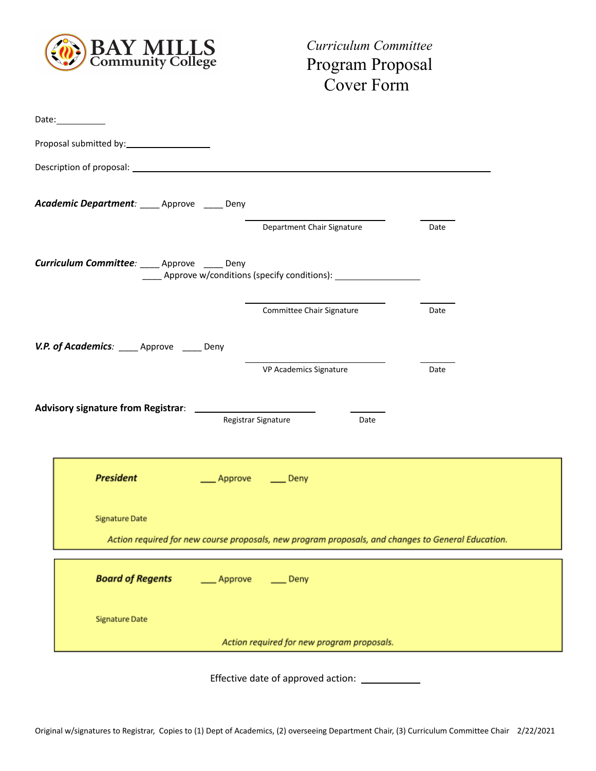

*Curriculum Committee* Program Proposal Cover Form

| Date:___________                             |                                                                                                    |      |
|----------------------------------------------|----------------------------------------------------------------------------------------------------|------|
|                                              |                                                                                                    |      |
|                                              |                                                                                                    |      |
| Academic Department: ____ Approve ____ Deny  |                                                                                                    |      |
|                                              | Department Chair Signature                                                                         | Date |
|                                              |                                                                                                    |      |
| Curriculum Committee: ____ Approve ____ Deny | _____ Approve w/conditions (specify conditions): _______________________________                   |      |
|                                              | Committee Chair Signature                                                                          | Date |
| V.P. of Academics: ____ Approve ____ Deny    |                                                                                                    |      |
|                                              | VP Academics Signature                                                                             | Date |
|                                              |                                                                                                    |      |
|                                              | Registrar Signature<br>Date                                                                        |      |
|                                              |                                                                                                    |      |
|                                              |                                                                                                    |      |
| <b>President</b>                             | Approve<br>$\equiv$ Deny                                                                           |      |
|                                              |                                                                                                    |      |
| <b>Signature Date</b>                        |                                                                                                    |      |
|                                              | Action required for new course proposals, new program proposals, and changes to General Education. |      |
| <b>Board of Regents</b>                      | ___ Approve<br>$\rule{1em}{0.15mm}$ Deny                                                           |      |
| <b>Signature Date</b>                        |                                                                                                    |      |

Effective date of approved action: \_\_\_\_\_\_\_\_\_\_\_\_\_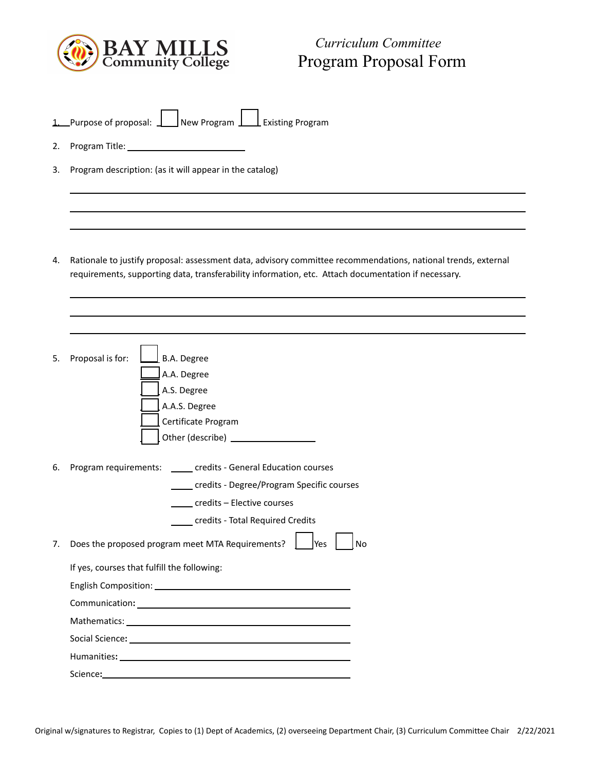

## *Curriculum Committee* Program Proposal Form

| Purpose of proposal: | $\sqrt{\phantom{a}}$ New Program $\sqrt{\phantom{a}}$ | $\perp$ Existing Program |
|----------------------|-------------------------------------------------------|--------------------------|

- 2. Program Title:
- 3. Program description: (as it will appear in the catalog)

4. Rationale to justify proposal: assessment data, advisory committee recommendations, national trends, external requirements, supporting data, transferability information, etc. Attach documentation if necessary.

| 5. | Proposal is for:<br>B.A. Degree                                                                                                                                                                                                |  |
|----|--------------------------------------------------------------------------------------------------------------------------------------------------------------------------------------------------------------------------------|--|
|    | A.A. Degree                                                                                                                                                                                                                    |  |
|    | A.S. Degree                                                                                                                                                                                                                    |  |
|    | A.A.S. Degree                                                                                                                                                                                                                  |  |
|    | Certificate Program                                                                                                                                                                                                            |  |
|    |                                                                                                                                                                                                                                |  |
| 6. | Program requirements: _____ credits - General Education courses                                                                                                                                                                |  |
|    | credits - Degree/Program Specific courses                                                                                                                                                                                      |  |
|    | ____ credits – Elective courses                                                                                                                                                                                                |  |
|    | credits - Total Required Credits                                                                                                                                                                                               |  |
| 7. | Does the proposed program meet MTA Requirements?<br><b>No</b><br>lYes                                                                                                                                                          |  |
|    | If yes, courses that fulfill the following:                                                                                                                                                                                    |  |
|    |                                                                                                                                                                                                                                |  |
|    | Communication: University of the Communication:                                                                                                                                                                                |  |
|    |                                                                                                                                                                                                                                |  |
|    | Social Science: Note and Science and Science and Science and Science and Science and Science and Science and Science and Science and Science and Science and Science and Science and Science and Science and Science and Scien |  |
|    | Humanities: the contract of the contract of the contract of the contract of the contract of the contract of the contract of the contract of the contract of the contract of the contract of the contract of the contract of th |  |
|    | Science:                                                                                                                                                                                                                       |  |
|    |                                                                                                                                                                                                                                |  |